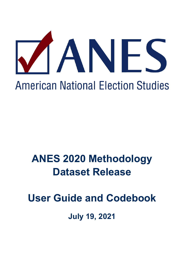

**American National Election Studies** 

# **ANES 2020 Methodology Dataset Release**

**User Guide and Codebook**

**July 19, 2021**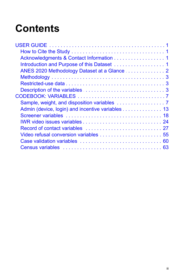# **Contents**

| Acknowledgments & Contact Information 1 |  |
|-----------------------------------------|--|
|                                         |  |
|                                         |  |
|                                         |  |
|                                         |  |
|                                         |  |
|                                         |  |
|                                         |  |
|                                         |  |
|                                         |  |
|                                         |  |
|                                         |  |
|                                         |  |
|                                         |  |
|                                         |  |
|                                         |  |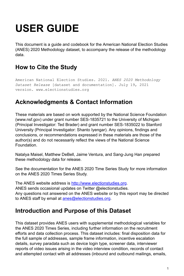# <span id="page-4-0"></span>**USER GUIDE**

This document is a guide and codebook for the American National Election Studies (ANES) 2020 Methodology dataset, to accompany the release of the methodology data.

# <span id="page-4-1"></span>**How to Cite the Study**

American National Election Studies. 2021. *ANES 2020 Methodology Dataset Release* [dataset and documentation]. July 19, 2021 version. www.electionstudies.org

# <span id="page-4-2"></span>**Acknowledgments & Contact Information**

These materials are based on work supported by the National Science Foundation (www.nsf.gov) under grant number SES-1835721 to the University of Michigan (Principal Investigator: Ted Brader) and grant number SES-1835022 to Stanford University (Principal Investigator: Shanto Iyengar). Any opinions, findings and conclusions, or recommendations expressed in these materials are those of the author(s) and do not necessarily reflect the views of the National Science Foundation.

Natalya Maisel, Matthew DeBell, Jaime Ventura, and Sang-Jung Han prepared these methodology data for release.

See the documentation for the ANES 2020 Time Series Study for more information on the ANES 2020 Times Series Study.

The ANES website address is [http://www.electionstudies.org](http://www.electionstudies.org/). ANES sends occasional updates on Twitter @electionstudies. Any questions not answered on the ANES website or by this report may be directed to ANES staff by email at [anes@electionstudies.org.](mailto:anes@electionstudies.org)

# <span id="page-4-3"></span>**Introduction and Purpose of this Dataset**

This dataset provides ANES users with supplemental methodological variables for the ANES 2020 Times Series, including further information on the recruitment efforts and data collection process. This dataset includes: final disposition data for the full sample of addresses, sample frame information, incentive escalation details, survey paradata such as device login type, screener data, interviewer reports of video issues arising in the video interview condition, records of contact and attempted contact with all addresses (inbound and outbound mailings, emails,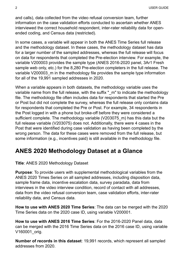and calls), data collected from the video refusal conversion team, further information on the case validation efforts conducted to ascertain whether ANES interviewed the correct household respondent, inter-rater reliability data for openended coding, and Census data (restricted).

In some cases, a variable will appear in both the ANES Time Series full release and the methodology dataset. In these cases, the methodology dataset has data for a larger number of the sampled addresses, whereas the full release will focus on data for respondents that completed the Pre-election interview. For example, the variable V200003 provides the sample type (ANES 2016-2020 panel, 3Ar1 Fresh sample web only, etc.) for the 8,280 Pre-election completers in the full release. The variable V200003 m in the methodology file provides the sample type information for all of the 19,991 sampled addresses in 2020.

When a variable appears in both datasets, the methodology variable uses the variable name from the full release, with the suffix " m" to indicate the methodology file. The methodology file often includes data for respondents that started the Pre or Post but did not complete the survey, whereas the full release only contains data for respondents that completed the Pre or Post. For example, 34 respondents in the Post logged in with a phone but broke-off before they were considered a sufficient complete. The methodology variable (V203075 m) has this data but the full release variable (V203075) does not. Additionally, there were 4 cases in the Post that were identified during case validation as having been completed by the wrong person. The data for these cases were removed from the full release, but some information (e.g., incentives paid) is still available in the methodology file.

# <span id="page-5-0"></span>**ANES 2020 Methodology Dataset at a Glance**

#### **Title**: ANES 2020 Methodology Dataset

**Purpose**: To provide users with supplemental methodological variables from the ANES 2020 Times Series on all sampled addresses, including disposition data, sample frame data, incentive escalation data, survey paradata, data from interviews in the video interview condition, record of contact with all addresses, data from the video refusal conversion team, case validation efforts, inter-rater reliability data, and Census data.

**How to use with ANES 2020 Time Series**: The data can be merged with the 2020 Time Series data on the 2020 case ID, using variable V200001.

**How to use with ANES 2016 Time Series**: For the 2016-2020 Panel data, data can be merged with the 2016 Time Series data on the 2016 case ID, using variable V160001\_orig.

**Number of records in this dataset**: 19,991 records, which represent all sampled addresses from 2020.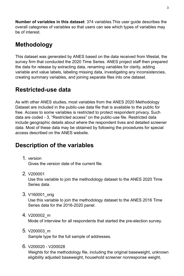**Number of variables in this dataset**: 374 variables.This user guide describes the overall categories of variables so that users can see which types of variables may be of interest.

# <span id="page-6-0"></span>**Methodology**

This dataset was generated by ANES based on the data received from Westat, the survey firm that conducted the 2020 Time Series. ANES project staff then prepared the data for release by extracting data, renaming variables for clarity, adding variable and value labels, labeling missing data, investigating any inconsistencies, creating summary variables, and joining separate files into one dataset.

# <span id="page-6-1"></span>**Restricted-use data**

As with other ANES studies, most variables from the ANES 2020 Methodology Dataset are included in the public-use data file that is available to the public for free. Access to some variables is restricted to protect respondent privacy. Such data are coded - 3, "Restricted access" on the public-use file. Restricted data include geographic details about where the respondent lives and detailed screener data. Most of these data may be obtained by following the procedures for special access described on the ANES website.

# <span id="page-6-2"></span>**Description of the variables**

1. version

Gives the version date of the current file.

2. V200001

Use this variable to join the methodology dataset to the ANES 2020 Time Series data.

3. V160001\_orig

Use this variable to join the methodology dataset to the ANES 2016 Time Series data for the 2016-2020 panel.

4. V200002\_m

Mode of interview for all respondents that started the pre-election survey.

5. V200003\_m

Sample type for the full sample of addresses.

6. V200020 - V200028

Weights for the methodology file, including the original baseweight, unknown eligibility adjusted baseweight, household screener nonresponse weight,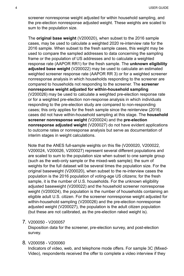screener nonresponse weight adjusted for within household sampling, and the pre-election nonresponse adjusted weight. These weights are scaled to sum to the population size.

The **original base weight** (V200020), when subset to the 2016 sample cases, may be used to calculate a weighted 2020 re-interview rate for the 2016 sample. When subset to the fresh sample cases, this weight may be used to compare the sampled addresses to data concerning the sampling frame or the population of US addresses and to calculate a weighted response rate (AAPOR RR1) for the fresh sample. The **unknown eligibility adjusted base weight** (V200022) may be used to calculate an estimated weighted screener response rate (AAPOR RR 3) or for a weighted screener nonresponse analysis in which households responding to the screener are compared to households not responding to the screener. The **screener nonresponse weight adjusted for within-household sampling** (V200026) may be used to calculate a weighted pre-election response rate or for a weighted pre-election non-response analysis in which individuals responding to the pre-election study are compared to non-responding cases; this only applies for the fresh sample since the reinterview (2016) cases did not have within-household sampling at this stage. The **household screener nonresponse weight** (V200024) and the **pre-election nonresponse adjusted weight** (V200027) do not have evident applications to outcome rates or nonresponse analysis but serve as documentation of interim stages in weight calculations.

Note that the ANES full-sample weights on this file (V200020, V200022, V200024, V200026, V200027) represent several different populations and are scaled to sum to the population size when subset to one sample group (such as the web-only sample or the mixed-web sample); the sum of weights for the full dataset will be several times the population size. For the original baseweight (V200020), when subset to the re-interview cases the population is the 2016 population of voting-age US citizens; for the fresh sample, it is the number of U.S. households. For the unknown eligibility adjusted baseweight (V200022) and the household screener nonresponse weight (V200024), the population is the number of households containing an eligible adult U.S. citizen. For the screener nonresponse weight adjusted for within-household sampling (V200026) and the pre-election nonresponse adjusted weight (V200027), the population is the adult citizen population (but these are not calibrated, as the pre-election raked weight is).

#### 7. V200050 - V200057

Disposition data for the screener, pre-election survey, and post-election survey.

#### 8. V200058 - V200060

Indicators of video, web, and telephone mode offers. For sample 3C (Mixed-Video), respondents received the offer to complete a video interview if they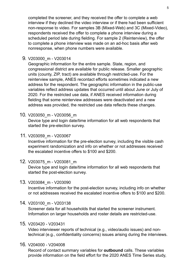completed the screener, and they received the offer to complete a web interview if they declined the video interview or if there had been sufficient non-response to video. For samples 3B (Mixed-Web) and 3C (Mixed-Video), respondents received the offer to complete a phone interview during a scheduled period late during fielding. For sample 2 (Reinterview), the offer to complete a phone interview was made on an ad-hoc basis after web nonresponse, when phone numbers were available.

9. V203000\_m - V203014

Geographic information for the entire sample. State, region, and congressional district are available for public release. Smaller geographic units (county, ZIP, tract) are available through restricted-use. For the reinterview sample, ANES recontact efforts sometimes indicated a new address for the respondent. The geographic information in the public-use variables reflect address updates that occurred until about June or July of 2020. For the restricted use data, if ANES received information during fielding that some reinterview addresses were deactivated and a new address was provided, the restricted use data reflects these changes.

10. V203050\_m - V203056\_m

Device type and login date/time information for all web respondents that started the pre-election survey.

11. V203059\_m - V203067

Incentive information for the pre-election survey, including the visible cash experiment randomization and info on whether or not addresses received the escalated incentive offers to \$100 and \$200.

12. V203075\_m - V203081\_m

Device type and login date/time information for all web respondents that started the post-election survey.

#### 13. V203084\_m - V203090

Incentive information for the post-election survey, including info on whether or not addresses received the escalated incentive offers to \$100 and \$200.

14. V203100\_m - V203138

Screener data for all households that started the screener instrument. Information on larger households and roster details are restricted-use.

#### 15. V203420 - V203431

Video interviewer reports of technical (e.g., video/audio issues) and nontechnical (e.g., confidentiality concerns) issues arising during the interviews.

#### 16. V204000 - V204008

Record of contact summary variables for **outbound** calls. These variables provide information on the field effort for the 2020 ANES Time Series study,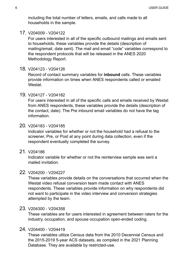including the total number of letters, emails, and calls made to all households in the sample.

17. V204009 - V204122

For users interested in all of the specific outbound mailings and emails sent to households, these variables provide the details (description of mailing/email, date sent). The mail and email "code" variables correspond to the respondent protocols that will be released in the ANES 2020 Methodology Report.

18. V204123 - V204126

Record of contact summary variables for **inbound** calls. These variables provide information on times when ANES respondents called or emailed Westat.

19. V204127 - V204182

For users interested in all of the specific calls and emails received by Westat from ANES respondents, these variables provide the details (description of the contact, date). The Pre inbound email variables do not have the tag information.

#### 20. V204183 - V204185

Indicator variables for whether or not the household had a refusal to the screener, Pre, or Post at any point during data collection, even if the respondent eventually completed the survey.

21. V204186

Indicator variable for whether or not the reinterview sample was sent a mailed invitation.

#### 22. V204200 - V204227

These variables provide details on the conversations that occurred when the Westat video refusal conversion team made contact with ANES respondents. These variables provide information on why respondents did not want to participate in the video interview and conversion strategies attempted by the team.

#### 23. V204300 - V204358

These variables are for users interested in agreement between raters for the industry, occupation, and spouse occupation open-ended coding.

#### 24. V204400 - V204419

These variables utilize Census data from the 2010 Decennial Census and the 2015-2019 5-year ACS datasets, as compiled in the 2021 Planning Database. They are available by restricted-use.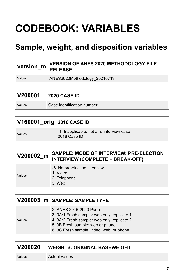# <span id="page-10-0"></span>**CODEBOOK: VARIABLES**

# **Sample, weight, and disposition variables**

#### **version\_m\_VERSION OF ANES 2020 METHODOLOGY FILE RELEASE**

Values ANES2020Methodology\_20210719

#### **V200001 2020 CASE ID**

Values Case identification number

#### **V160001\_orig 2016 CASE ID**

| Values | -1. Inapplicable, not a re-interview case |
|--------|-------------------------------------------|
|        | 2016 Case ID                              |

#### **V200002\_m SAMPLE: MODE OF INTERVIEW: PRE-ELECTION INTERVIEW (COMPLETE + BREAK-OFF)**

|        | -6. No pre-election interview |
|--------|-------------------------------|
|        | 1. Video                      |
| Values | 2 Telephone                   |

- 1. Video
- 2. Telephone
- 3. Web

#### **V200003\_m SAMPLE: SAMPLE TYPE**

- 2. ANES 2016-2020 Panel
- 3. 3Ar1 Fresh sample: web only, replicate 1

Values

- 4. 3Ar2 Fresh sample: web only, replicate 2 5. 3B Fresh sample: web or phone
- 
- 6. 3C Fresh sample: video, web, or phone

#### **V200020 WEIGHTS: ORIGINAL BASEWEIGHT**

Values **Actual values**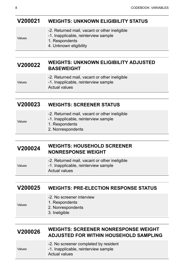#### **V200021 WEIGHTS: UNKNOWN ELIGIBILITY STATUS**

| -2. Returned mail, vacant or other ineligible |  |  |  |
|-----------------------------------------------|--|--|--|
|-----------------------------------------------|--|--|--|

- -1. Inapplicable, reinterview sample
- 1. Respondents
- 4. Unknown eligibility

#### **V200022 WEIGHTS: UNKNOWN ELIGIBILITY ADJUSTED BASEWEIGHT**

Values

-2. Returned mail, vacant or other ineligible

-1. Inapplicable, reinterview sample

Actual values

#### **V200023 WEIGHTS: SCREENER STATUS**

| Values |  |
|--------|--|

Values

Values

- -2. Returned mail, vacant or other ineligible
- -1. Inapplicable, reinterview sample
- 1. Respondents
- 2. Nonrespondents

#### **V200024 WEIGHTS: HOUSEHOLD SCREENER NONRESPONSE WEIGHT**

|        | -2. Returned mail, vacant or other ineligible |  |
|--------|-----------------------------------------------|--|
| Values | -1. Inapplicable, reinterview sample          |  |
|        | Actual values                                 |  |

#### **V200025 WEIGHTS: PRE-ELECTION RESPONSE STATUS**

- -2. No screener interview
- 1. Respondents
	- 2. Nonrespondents
		- 3. Ineligible

#### **V200026 WEIGHTS: SCREENER NONRESPONSE WEIGHT ADJUSTED FOR WITHIN HOUSEHOLD SAMPLING**

- -2. No screener completed by resident
	- -1. Inapplicable, reinterview sample
		- Actual values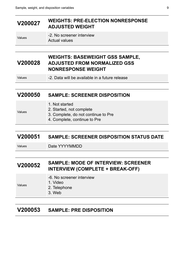#### **V200027 WEIGHTS: PRE-ELECTION NONRESPONSE ADJUSTED WEIGHT**

Values **-2. No screener interview** Actual values

#### **V200028 WEIGHTS: BASEWEIGHT GSS SAMPLE, ADJUSTED FROM NORMALIZED GSS NONRESPONSE WEIGHT**

Values -2. Data will be available in a future release

#### **V200050 SAMPLE: SCREENER DISPOSITION**

- 1. Not started
- 2. Started, not complete
	- 3. Complete, do not continue to Pre
	- 4. Complete, continue to Pre

#### **V200051 SAMPLE: SCREENER DISPOSITION STATUS DATE**

Values

Values **Date YYYYMMDD** 

#### **V200052 SAMPLE: MODE OF INTERVIEW: SCREENER INTERVIEW (COMPLETE + BREAK-OFF)**

| -6. No screener interview<br>1. Video<br>Values<br>2. Telephone<br>3. Web |  |
|---------------------------------------------------------------------------|--|
|---------------------------------------------------------------------------|--|

#### **V200053 SAMPLE: PRE DISPOSITION**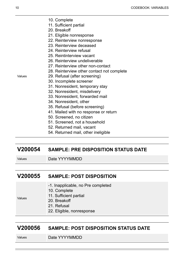- 10. Complete
- 11. Sufficient partial
- 20. Breakoff
- 21. Eligible nonresponse
- 22. Reinterview nonresponse
- 23. Reinterview deceased
- 24. Reinterview refusal
- 25. Reintinterview vacant
- 26. Reinterview undeliverable
- 27. Reinterview other non-contact
- 28. Reinterview other contact not complete
- Values
- 29. Refusal (after screening)
- 30. Incomplete screener
- 31. Nonresident, temporary stay
- 32. Nonresident, misdelivery
- 33. Nonresident, forwarded mail
- 34. Nonresident, other
- 35. Refusal (before screening)
- 41. Mailed with no response or return
- 50. Screened, no citizen
- 51. Screened, not a household
- 52. Returned mail, vacant
- 54. Returned mail, other ineligible

#### **V200054 SAMPLE: PRE DISPOSITION STATUS DATE**

Values Date YYYYMMDD

#### **V200055 SAMPLE: POST DISPOSITION**

11. Sufficient partial

- -1. Inapplicable, no Pre completed
- 10. Complete

Values

- 20. Breakoff
- 21. Refusal
- 22. Eligible, nonresponse

#### **V200056 SAMPLE: POST DISPOSITION STATUS DATE**

Values Date YYYYMMDD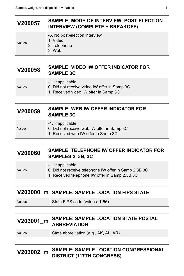### **V200057 SAMPLE: MODE OF INTERVIEW: POST-ELECTION INTERVIEW (COMPLETE + BREAKOFF)**

-6. No post-election interview

Values

- 2. Telephone
- 3. Web

1. Video

#### **V200058 SAMPLE: VIDEO IW OFFER INDICATOR FOR SAMPLE 3C**

Values

- -1. Inapplicable
- 
- 0. Did not receive video IW offer in Samp 3C
- 1. Received video IW offer in Samp 3C

#### **V200059 SAMPLE: WEB IW OFFER INDICATOR FOR SAMPLE 3C**

Values

#### -1. Inapplicable

- 0. Did not receive web IW offer in Samp 3C
	- 1. Received web IW offer in Samp 3C

#### **V200060 SAMPLE: TELEPHONE IW OFFER INDICATOR FOR SAMPLES 2, 3B, 3C**

| Values | -1. Inapplicable<br>0. Did not receive telephone IW offer in Samp 2,3B,3C |
|--------|---------------------------------------------------------------------------|
|        | 1. Received telephone IW offer in Samp 2,3B,3C                            |

#### **V203000\_m SAMPLE: SAMPLE LOCATION FIPS STATE**

Values State FIPS code (values: 1-56)

#### **V203001\_m SAMPLE: SAMPLE LOCATION STATE POSTAL ABBREVIATION**

Values State abbreviation (e.g., AK, AL, AR)

### **V203002\_m SAMPLE: SAMPLE LOCATION CONGRESSIONAL DISTRICT (117TH CONGRESS)**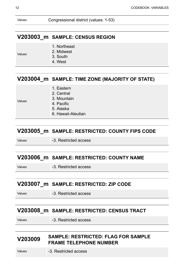Values Congressional district (values: 1-53)

#### **V203003\_m SAMPLE: CENSUS REGION**

Values

- 1. Northeast
- 2. Midwest
- 3. South
- 4. West

#### **V203004\_m SAMPLE: TIME ZONE (MAJORITY OF STATE)**

- 1. Eastern
- 2. Central 3. Mountain

Values

- 4. Pacific
- 5. Alaska
- 6. Hawaii-Aleutian

#### **V203005\_m SAMPLE: RESTRICTED: COUNTY FIPS CODE**

Values **-3. Restricted access** 

#### **V203006\_m SAMPLE: RESTRICTED: COUNTY NAME**

Values -3. Restricted access

#### **V203007\_m SAMPLE: RESTRICTED: ZIP CODE**

Values -3. Restricted access

#### **V203008\_m SAMPLE: RESTRICTED: CENSUS TRACT**

Values -3. Restricted access

#### **V203009 SAMPLE: RESTRICTED: FLAG FOR SAMPLE FRAME TELEPHONE NUMBER**

Values -3. Restricted access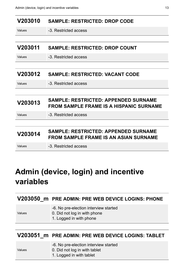<span id="page-16-0"></span>

| V203010 | <b>SAMPLE: RESTRICTED: DROP CODE</b>                                                          |
|---------|-----------------------------------------------------------------------------------------------|
| Values  | -3. Restricted access                                                                         |
|         |                                                                                               |
| V203011 | <b>SAMPLE: RESTRICTED: DROP COUNT</b>                                                         |
| Values  | -3. Restricted access                                                                         |
|         |                                                                                               |
| V203012 | <b>SAMPLE: RESTRICTED: VACANT CODE</b>                                                        |
| Values  | -3. Restricted access                                                                         |
|         |                                                                                               |
| V203013 | <b>SAMPLE: RESTRICTED: APPENDED SURNAME</b><br><b>FROM SAMPLE FRAME IS A HISPANIC SURNAME</b> |
| Values  | -3. Restricted access                                                                         |
|         |                                                                                               |
| V203014 | <b>SAMPLE: RESTRICTED: APPENDED SURNAME</b><br>FROM SAMPLE FRAME IS AN ASIAN SURNAME          |
| Values  | -3. Restricted access                                                                         |

# **Admin (device, login) and incentive variables**

|        | V203050 m PRE ADMIN: PRE WEB DEVICE LOGINS: PHONE                                                |
|--------|--------------------------------------------------------------------------------------------------|
| Values | -6. No pre-election interview started<br>0. Did not log in with phone<br>1. Logged in with phone |
|        |                                                                                                  |
|        | V203051 m PRE ADMIN: PRE WEB DEVICE LOGINS: TABLET                                               |

- -6. No pre-election interview started
- Values
- 0. Did not log in with tablet
	- 1. Logged in with tablet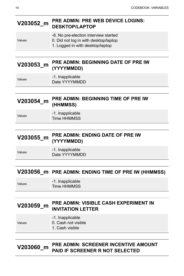#### **V203052\_m PRE ADMIN: PRE WEB DEVICE LOGINS: DESKTOP/LAPTOP**

|        | -6. No pre-election interview started |
|--------|---------------------------------------|
| Values | 0. Did not log in with desktop/laptop |
|        | 1. Logged in with desktop/laptop      |

#### **V203053\_m PRE ADMIN: BEGINNING DATE OF PRE IW (YYYYMMDD)**

Values -1. Inapplicable Date YYYYMMDD

| V203054_m | <b>PRE ADMIN: BEGINNING TIME OF PRE IW</b> |
|-----------|--------------------------------------------|
|           | (HHMMSS)                                   |

| Values | -1. Inapplicable |
|--------|------------------|
|        | Time HHMMSS      |

#### **V203055\_m PRE ADMIN: ENDING DATE OF PRE IW (YYYYMMDD)**

Values -1. Inapplicable Date YYYYMMDD

#### **V203056\_m PRE ADMIN: ENDING TIME OF PRE IW (HHMMSS)**

Values -1. Inapplicable Time HHMMSS

Values

#### **V203059\_m PRE ADMIN: VISIBLE CASH EXPERIMENT IN INVITATION LETTER**

#### -1. Inapplicable

- 0. Cash not visible
	- 1. Cash visible

#### **V203060\_m PRE ADMIN: SCREENER INCENTIVE AMOUNT PAID IF SCREENER R NOT SELECTED**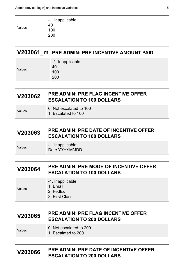| 40            |  |
|---------------|--|
|               |  |
| Values<br>100 |  |
| 200           |  |

#### **V203061\_m PRE ADMIN: PRE INCENTIVE AMOUNT PAID**

|        | -1. Inapplicable |
|--------|------------------|
| Values | 40               |
|        | 100              |
|        | 200              |
|        |                  |

#### **V203062 PRE ADMIN: PRE FLAG INCENTIVE OFFER ESCALATION TO 100 DOLLARS**

| Values | 0. Not escalated to 100 |  |  |  |  |
|--------|-------------------------|--|--|--|--|
|        | 1. Escalated to 100     |  |  |  |  |

#### **V203063 PRE ADMIN: PRE DATE OF INCENTIVE OFFER ESCALATION TO 100 DOLLARS**

Values -1. Inapplicable Date YYYYMMDD

#### **V203064 PRE ADMIN: PRE MODE OF INCENTIVE OFFER ESCALATION TO 100 DOLLARS**

-1. Inapplicable

Values

1. Email

2. FedEx

3. First Class

#### **V203065 PRE ADMIN: PRE FLAG INCENTIVE OFFER ESCALATION TO 200 DOLLARS**

Values 0. Not escalated to 200

1. Escalated to 200

#### **V203066 PRE ADMIN: PRE DATE OF INCENTIVE OFFER ESCALATION TO 200 DOLLARS**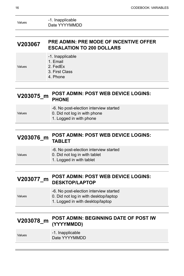| Values | -1. Inapplicable |
|--------|------------------|
|        | Date YYYYMMDD    |

| V203067 | <b>PRE ADMIN: PRE MODE OF INCENTIVE OFFER</b> |
|---------|-----------------------------------------------|
|         | <b>ESCALATION TO 200 DOLLARS</b>              |

|        | -1. Inapplicable<br>1. Email |
|--------|------------------------------|
| Values | 2. FedEx                     |
|        | 3. First Class               |
|        | 4. Phone                     |

#### **V203075\_m POST ADMIN: POST WEB DEVICE LOGINS: PHONE**

|          |  |  | -6. No post-election interview started |  |
|----------|--|--|----------------------------------------|--|
| $\cdots$ |  |  |                                        |  |

- Values 0. Did not log in with phone
	- 1. Logged in with phone

# **V203076\_m POST ADMIN: POST WEB DEVICE LOGINS: TABLET**

|        | -6. No post-election interview started |
|--------|----------------------------------------|
| Values | 0. Did not log in with tablet          |

1. Logged in with tablet

#### **V203077\_m POST ADMIN: POST WEB DEVICE LOGINS: DESKTOP/LAPTOP**

|        | -6. No post-election interview started |
|--------|----------------------------------------|
| Values | 0. Did not log in with desktop/laptop  |
|        |                                        |

1. Logged in with desktop/laptop

#### **V203078\_m POST ADMIN: BEGINNING DATE OF POST IW (YYYYMMDD)**

Values -1. Inapplicable

Date YYYYMMDD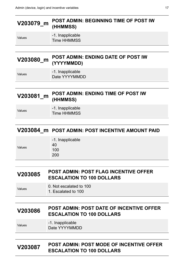| <b>POST ADMIN: BEGINNING TIME OF POST IW</b><br>V203079_m<br>(HHMMSS) |                                                         |
|-----------------------------------------------------------------------|---------------------------------------------------------|
| Values                                                                | -1. Inapplicable<br>Time HHMMSS                         |
|                                                                       |                                                         |
| V203080_m                                                             | <b>POST ADMIN: ENDING DATE OF POST IW</b><br>(YYYYMMDD) |
| Values                                                                | -1. Inapplicable<br>Date YYYYMMDD                       |
|                                                                       |                                                         |
| V203081 m                                                             | POST ADMIN: ENDING TIME OF POST IW<br>(HHMMSS)          |
| Values                                                                | -1. Inapplicable<br>Time HHMMSS                         |

#### **V203084\_m POST ADMIN: POST INCENTIVE AMOUNT PAID**

|        | -1. Inapplicable |
|--------|------------------|
|        | 40               |
| Values | 100              |
|        | 200              |
|        |                  |

| V203085 | <b>POST ADMIN: POST FLAG INCENTIVE OFFER</b> |
|---------|----------------------------------------------|
|         | <b>ESCALATION TO 100 DOLLARS</b>             |

| Values |  |  | 0. Not escalated to 100 |  |
|--------|--|--|-------------------------|--|
|        |  |  |                         |  |

1. Escalated to 100

# **V203086 POST ADMIN: POST DATE OF INCENTIVE OFFER ESCALATION TO 100 DOLLARS**

| Values | -1. Inapplicable |
|--------|------------------|
|        | Date YYYYMMDD    |

#### **V203087 POST ADMIN: POST MODE OF INCENTIVE OFFER ESCALATION TO 100 DOLLARS**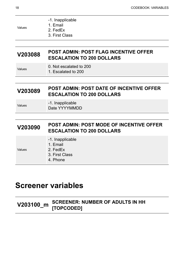| Values  | -1. Inapplicable<br>1. Email<br>2. FedEx<br>3. First Class                          |
|---------|-------------------------------------------------------------------------------------|
|         |                                                                                     |
| V203088 | <b>POST ADMIN: POST FLAG INCENTIVE OFFER</b><br><b>ESCALATION TO 200 DOLLARS</b>    |
| Values  | 0. Not escalated to 200<br>1. Escalated to 200                                      |
|         |                                                                                     |
| V203089 | <b>POST ADMIN: POST DATE OF INCENTIVE OFFER</b><br><b>ESCALATION TO 200 DOLLARS</b> |
| Values  | -1. Inapplicable<br>Date YYYYMMDD                                                   |
|         |                                                                                     |
| V203090 | <b>POST ADMIN: POST MODE OF INCENTIVE OFFER</b><br><b>ESCALATION TO 200 DOLLARS</b> |
| Values  | -1. Inapplicable<br>1. Email<br>2. FedEx<br>3. First Class<br>4. Phone              |

# <span id="page-21-0"></span>**Screener variables**

| <u>בריטס Hopcopen (2012)</u><br>TOPCODED | <b>SCREENER: NUMBER OF ADULTS IN HH</b> |
|------------------------------------------|-----------------------------------------|
|                                          |                                         |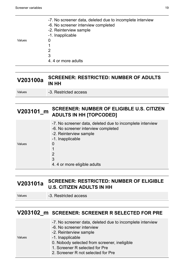|        | -7. No screener data, deleted due to incomplete interview<br>-6. No screener interview completed<br>-2. Reinterview sample |
|--------|----------------------------------------------------------------------------------------------------------------------------|
|        | -1. Inapplicable                                                                                                           |
| Values | O                                                                                                                          |
|        |                                                                                                                            |
|        | 2                                                                                                                          |
|        | 3                                                                                                                          |
|        | 4.4 or more adults                                                                                                         |
|        |                                                                                                                            |

| V203100a | <b>SCREENER: RESTRICTED: NUMBER OF ADULTS</b><br><b>IN HH</b> |
|----------|---------------------------------------------------------------|
| Values   | -3. Restricted access                                         |

#### **V203101\_m SCREENER: NUMBER OF ELIGIBLE U.S. CITIZEN ADULTS IN HH [TOPCODED]**

|        | -7. No screener data, deleted due to incomplete interview<br>-6. No screener interview completed<br>-2. Reinterview sample |
|--------|----------------------------------------------------------------------------------------------------------------------------|
|        | -1. Inapplicable                                                                                                           |
| Values | O                                                                                                                          |
|        |                                                                                                                            |
|        | 2                                                                                                                          |
|        | 3                                                                                                                          |
|        | 4.4 or more eligible adults                                                                                                |

#### **V203101a SCREENER: RESTRICTED: NUMBER OF ELIGIBLE U.S. CITIZEN ADULTS IN HH**

Values **-3. Restricted access** 

#### **V203102\_m SCREENER: SCREENER R SELECTED FOR PRE**

- -7. No screener data, deleted due to incomplete interview
- -6. No screener interview
- -2. Reinterview sample

Values

- -1. Inapplicable
	- 0. Nobody selected from screener, ineligible
	- 1. Screener R selected for Pre
	- 2. Screener R not selected for Pre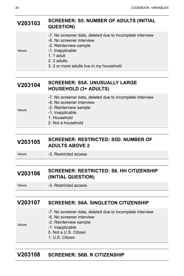#### **V203103 SCREENER: S5. NUMBER OF ADULTS (INITIAL QUESTION)**

- -7. No screener data, deleted due to incomplete interview
- -6. No screener interview
- -2. Reinterview sample

Values

1. 1 adult

-1. Inapplicable

- 2. 2 adults
- 3. 3 or more adults live in my household

#### **V203104 SCREENER: S5A. UNUSUALLY LARGE HOUSEHOLD (3+ ADULTS)**

- -7. No screener data, deleted due to incomplete interview
- -6. No screener interview -2. Reinterview sample

Values

- -1. Inapplicable
	- 1. Household
	- 2. Not a household

#### **V203105 SCREENER: RESTRICTED: S5D. NUMBER OF ADULTS ABOVE 2**

Values **-3. Restricted access** 

#### **V203106 SCREENER: RESTRICTED: S6. HH CITIZENSHIP (INITIAL QUESTION)**

Values -3. Restricted access

#### **V203107 SCREENER: S6A. SINGLETON CITIZENSHIP**

- -7. No screener data, deleted due to incomplete interview
- -6. No screener interview
- Values
- -2. Reinterview sample
- -1. Inapplicable
	- 0. Not a U.S. Citizen
	- 1. U.S. Citizen

#### **V203108 SCREENER: S6B. R CITIZENSHIP**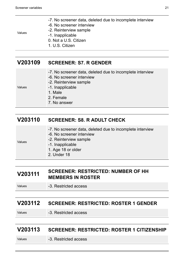- -7. No screener data, deleted due to incomplete interview
- -6. No screener interview -2. Reinterview sample

Values

- -1. Inapplicable
- 0. Not a U.S. Citizen
- 1. U.S. Citizen

#### **V203109 SCREENER: S7. R GENDER**

- -7. No screener data, deleted due to incomplete interview
- -6. No screener interview
- -2. Reinterview sample

Values

Values

- 1. Male
- 2. Female
- 7. No answer

-1. Inapplicable

#### **V203110 SCREENER: S8. R ADULT CHECK**

- -7. No screener data, deleted due to incomplete interview
- -6. No screener interview
- -2. Reinterview sample
	- -1. Inapplicable
		- 1. Age 18 or older
		- 2. Under 18

#### **V203111 SCREENER: RESTRICTED: NUMBER OF HH MEMBERS IN ROSTER**

Values -3. Restricted access

#### **V203112 SCREENER: RESTRICTED: ROSTER 1 GENDER**

Values -3. Restricted access

#### **V203113 SCREENER: RESTRICTED: ROSTER 1 CITIZENSHIP**

#### Values **-3. Restricted access**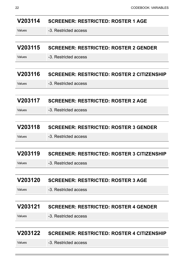| V203114        | <b>SCREENER: RESTRICTED: ROSTER 1 AGE</b>         |
|----------------|---------------------------------------------------|
| Values         | -3. Restricted access                             |
|                |                                                   |
| V203115        | <b>SCREENER: RESTRICTED: ROSTER 2 GENDER</b>      |
| Values         | -3. Restricted access                             |
|                |                                                   |
| V203116        | <b>SCREENER: RESTRICTED: ROSTER 2 CITIZENSHIP</b> |
| Values         | -3. Restricted access                             |
|                |                                                   |
| V203117        | <b>SCREENER: RESTRICTED: ROSTER 2 AGE</b>         |
| Values         | -3. Restricted access                             |
|                |                                                   |
| V203118        | <b>SCREENER: RESTRICTED: ROSTER 3 GENDER</b>      |
| Values         | -3. Restricted access                             |
|                |                                                   |
| V203119        | <b>SCREENER: RESTRICTED: ROSTER 3 CITIZENSHIP</b> |
| Values         | -3. Restricted access                             |
|                |                                                   |
| <b>V203120</b> | <b>SCREENER: RESTRICTED: ROSTER 3 AGE</b>         |
| Values         | -3. Restricted access                             |
|                |                                                   |
| V203121        | <b>SCREENER: RESTRICTED: ROSTER 4 GENDER</b>      |
| Values         | -3. Restricted access                             |
|                |                                                   |
| V203122        | <b>SCREENER: RESTRICTED: ROSTER 4 CITIZENSHIP</b> |
| Values         | -3. Restricted access                             |
|                |                                                   |

<u> Andreas Andreas Andreas Andreas Andreas Andreas Andreas Andreas Andreas Andreas Andreas Andreas Andreas Andr</u>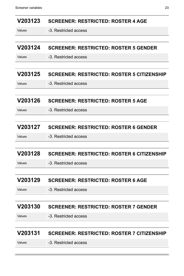| V203123 | <b>SCREENER: RESTRICTED: ROSTER 4 AGE</b>         |
|---------|---------------------------------------------------|
| Values  | -3. Restricted access                             |
|         |                                                   |
| V203124 | <b>SCREENER: RESTRICTED: ROSTER 5 GENDER</b>      |
| Values  | -3. Restricted access                             |
|         |                                                   |
| V203125 | <b>SCREENER: RESTRICTED: ROSTER 5 CITIZENSHIP</b> |
| Values  | -3. Restricted access                             |
|         |                                                   |
| V203126 | <b>SCREENER: RESTRICTED: ROSTER 5 AGE</b>         |
| Values  | -3. Restricted access                             |
|         |                                                   |
| V203127 | <b>SCREENER: RESTRICTED: ROSTER 6 GENDER</b>      |
| Values  | -3. Restricted access                             |
|         |                                                   |
| V203128 | <b>SCREENER: RESTRICTED: ROSTER 6 CITIZENSHIP</b> |
| Values  | -3. Restricted access                             |
|         |                                                   |
| V203129 | <b>SCREENER: RESTRICTED: ROSTER 6 AGE</b>         |
| Values  | -3. Restricted access                             |
|         |                                                   |
| V203130 | <b>SCREENER: RESTRICTED: ROSTER 7 GENDER</b>      |
| Values  | -3. Restricted access                             |
|         |                                                   |
| V203131 | <b>SCREENER: RESTRICTED: ROSTER 7 CITIZENSHIP</b> |
| Values  | -3. Restricted access                             |
|         |                                                   |

<u> Electronic de la contrada de la contrada de la contrada de la contrada de la contrada de la contrada de la c</u>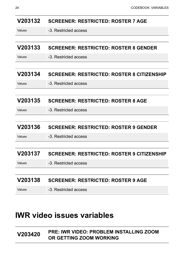| V203132 | <b>SCREENER: RESTRICTED: ROSTER 7 AGE</b>         |
|---------|---------------------------------------------------|
| Values  | -3. Restricted access                             |
|         |                                                   |
| V203133 | <b>SCREENER: RESTRICTED: ROSTER 8 GENDER</b>      |
| Values  | -3. Restricted access                             |
|         |                                                   |
| V203134 | <b>SCREENER: RESTRICTED: ROSTER 8 CITIZENSHIP</b> |
| Values  | -3. Restricted access                             |
|         |                                                   |
| V203135 | <b>SCREENER: RESTRICTED: ROSTER 8 AGE</b>         |
| Values  | -3. Restricted access                             |
|         |                                                   |
| V203136 | <b>SCREENER: RESTRICTED: ROSTER 9 GENDER</b>      |
| Values  | -3. Restricted access                             |
|         |                                                   |
| V203137 | <b>SCREENER: RESTRICTED: ROSTER 9 CITIZENSHIP</b> |
| Values  | -3. Restricted access                             |
|         |                                                   |
| V203138 | <b>SCREENER: RESTRICTED: ROSTER 9 AGE</b>         |
| Values  | -3. Restricted access                             |

# <span id="page-27-0"></span>**IWR video issues variables**

#### **V203420 PRE: IWR VIDEO: PROBLEM INSTALLING ZOOM OR GETTING ZOOM WORKING**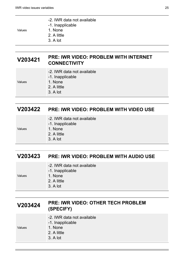- 1. None 2. A little
	- 3. A lot

-1. Inapplicable

-2. IWR data not available

#### **V203421 PRE: IWR VIDEO: PROBLEM WITH INTERNET CONNECTIVITY**

| 1. None<br>Values<br>2. A little<br>3. A lot | -2. IWR data not available<br>-1. Inapplicable |
|----------------------------------------------|------------------------------------------------|
|----------------------------------------------|------------------------------------------------|

## **V203422 PRE: IWR VIDEO: PROBLEM WITH VIDEO USE**

| -2. IWR data not available |
|----------------------------|
| -1. Inapplicable           |
| 1. None                    |

Values

- 2. A little
- 3. A lot

### **V203423 PRE: IWR VIDEO: PROBLEM WITH AUDIO USE**

|        | -2. IWR data not available<br>-1. Inapplicable |
|--------|------------------------------------------------|
| Values | 1. None                                        |
|        | 2. A little                                    |
|        | 3. A lot                                       |

# **V203424 PRE: IWR VIDEO: OTHER TECH PROBLEM (SPECIFY)**

|        | -2. IWR data not available<br>-1. Inapplicable |
|--------|------------------------------------------------|
| Values | 1. None<br>2. A little<br>3. A lot             |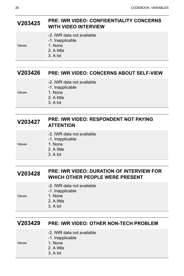#### **V203425 PRE: IWR VIDEO: CONFIDENTIALITY CONCERNS WITH VIDEO INTERVIEW**

|        | -2. IWR data not available<br>-1. Inapplicable |
|--------|------------------------------------------------|
| Values | 1. None                                        |
|        | 2. A little                                    |
|        | 3. A lot                                       |
|        |                                                |

#### **V203426 PRE: IWR VIDEO: CONCERNS ABOUT SELF-VIEW**

|        | -2. IWR data not available |
|--------|----------------------------|
|        | -1. Inapplicable           |
| Values | 1. None                    |
|        | 2. A little                |
|        | 3. A lot                   |

#### **V203427 PRE: IWR VIDEO: RESPONDENT NOT PAYING ATTENTION**

|  |  | -2. IWR data not available |
|--|--|----------------------------|
|--|--|----------------------------|

-1. Inapplicable

Values

- 1. None 2. A little
- 3. A lot

#### **V203428 PRE: IWR VIDEO: DURATION OF INTERVIEW FOR WHICH OTHER PEOPLE WERE PRESENT**

|        | -2. IWR data not available<br>-1. Inapplicable |
|--------|------------------------------------------------|
| Values | 1. None                                        |
|        | 2. A little                                    |
|        | 3. A lot                                       |

#### **V203429 PRE: IWR VIDEO: OTHER NON-TECH PROBLEM**

|        | -2. IWR data not available<br>-1. Inapplicable |
|--------|------------------------------------------------|
| Values | 1. None                                        |
|        | 2. A little                                    |
|        | 3. A lot                                       |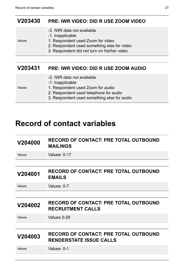Values

#### <span id="page-30-0"></span>**V203430 PRE: IWR VIDEO: DID R USE ZOOM VIDEO**

- -2. IWR data not available
- -1. Inapplicable
- 1. Respondent used Zoom for video
- 2. Respondent used something else for video
- 3. Respondent did not turn on his/her video

#### **V203431 PRE: IWR VIDEO: DID R USE ZOOM AUDIO**

|        | -2. IWR data not available<br>-1. Inapplicable |
|--------|------------------------------------------------|
| Values | 1. Respondent used Zoom for audio              |
|        | 2. Respondent used telephone for audio         |
|        | 3. Respondent used something else for audio    |

# **Record of contact variables**

| V204000 | <b>RECORD OF CONTACT: PRE TOTAL OUTBOUND</b><br><b>MAILINGS</b>                |
|---------|--------------------------------------------------------------------------------|
| Values  | Values: 0-17                                                                   |
|         |                                                                                |
| V204001 | <b>RECORD OF CONTACT: PRE TOTAL OUTBOUND</b><br><b>EMAILS</b>                  |
| Values  | Values: 0-7                                                                    |
|         |                                                                                |
|         |                                                                                |
| V204002 | <b>RECORD OF CONTACT: PRE TOTAL OUTBOUND</b><br><b>RECRUITMENT CALLS</b>       |
| Values  | Values 0-29                                                                    |
|         |                                                                                |
| V204003 | <b>RECORD OF CONTACT: PRE TOTAL OUTBOUND</b><br><b>RENDERSTATE ISSUE CALLS</b> |
| Values  | Values: 0-1                                                                    |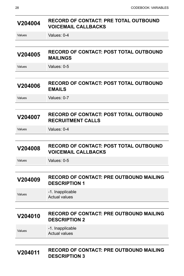| V204004 | <b>RECORD OF CONTACT: PRE TOTAL OUTBOUND</b><br><b>VOICEMAIL CALLBACKS</b>  |  |
|---------|-----------------------------------------------------------------------------|--|
| Values  | Values: 0-4                                                                 |  |
|         |                                                                             |  |
| V204005 | <b>RECORD OF CONTACT: POST TOTAL OUTBOUND</b><br><b>MAILINGS</b>            |  |
| Values  | Values: 0-5                                                                 |  |
|         |                                                                             |  |
| V204006 | <b>RECORD OF CONTACT: POST TOTAL OUTBOUND</b><br><b>EMAILS</b>              |  |
| Values  | Values: 0-7                                                                 |  |
|         |                                                                             |  |
| V204007 | <b>RECORD OF CONTACT: POST TOTAL OUTBOUND</b><br><b>RECRUITMENT CALLS</b>   |  |
| Values  | Values: 0-4                                                                 |  |
|         |                                                                             |  |
| V204008 | <b>RECORD OF CONTACT: POST TOTAL OUTBOUND</b><br><b>VOICEMAIL CALLBACKS</b> |  |
| Values  | Values: 0-5                                                                 |  |
|         |                                                                             |  |
| V204009 | <b>RECORD OF CONTACT: PRE OUTBOUND MAILING</b><br><b>DESCRIPTION 1</b>      |  |
| Values  | -1. Inapplicable<br><b>Actual values</b>                                    |  |
|         |                                                                             |  |
| V204010 | <b>RECORD OF CONTACT: PRE OUTBOUND MAILING</b><br><b>DESCRIPTION 2</b>      |  |
| Values  | -1. Inapplicable<br><b>Actual values</b>                                    |  |
|         |                                                                             |  |
| V204011 | <b>RECORD OF CONTACT: PRE OUTBOUND MAILING</b>                              |  |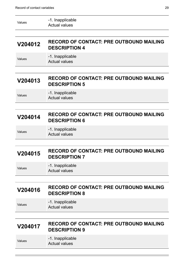| Values | -1. Inapplicable |
|--------|------------------|
|        | Actual values    |

#### **V204012 RECORD OF CONTACT: PRE OUTBOUND MAILING DESCRIPTION 4**

Values -1. Inapplicable Actual values

#### **V204013 RECORD OF CONTACT: PRE OUTBOUND MAILING DESCRIPTION 5**

Values -1. Inapplicable Actual values

#### **V204014 RECORD OF CONTACT: PRE OUTBOUND MAILING DESCRIPTION 6**

Values -1. Inapplicable Actual values

#### **V204015 RECORD OF CONTACT: PRE OUTBOUND MAILING DESCRIPTION 7**

Values -1. Inapplicable Actual values

#### **V204016 RECORD OF CONTACT: PRE OUTBOUND MAILING DESCRIPTION 8**

Values -1. Inapplicable Actual values

#### **V204017 RECORD OF CONTACT: PRE OUTBOUND MAILING DESCRIPTION 9**

Values -1. Inapplicable Actual values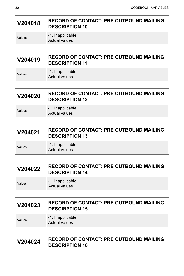#### **V204018 RECORD OF CONTACT: PRE OUTBOUND MAILING DESCRIPTION 10**

-1. Inapplicable Actual values

#### **V204019 RECORD OF CONTACT: PRE OUTBOUND MAILING DESCRIPTION 11**

Values -1. Inapplicable Actual values

#### **V204020 RECORD OF CONTACT: PRE OUTBOUND MAILING DESCRIPTION 12**

Values **-1.** Inapplicable Actual values

#### **V204021 RECORD OF CONTACT: PRE OUTBOUND MAILING DESCRIPTION 13**

Values -1. Inapplicable

Actual values

#### **V204022 RECORD OF CONTACT: PRE OUTBOUND MAILING DESCRIPTION 14**

Values -1. Inapplicable Actual values

#### **V204023 RECORD OF CONTACT: PRE OUTBOUND MAILING DESCRIPTION 15**

Values -1. Inapplicable Actual values

#### **V204024 RECORD OF CONTACT: PRE OUTBOUND MAILING DESCRIPTION 16**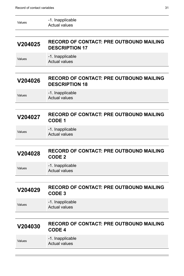| Values | -1. Inapplicable<br>Actual values |  |
|--------|-----------------------------------|--|
|        |                                   |  |

#### **V204025 RECORD OF CONTACT: PRE OUTBOUND MAILING DESCRIPTION 17**

Values -1. Inapplicable Actual values

#### **V204026 RECORD OF CONTACT: PRE OUTBOUND MAILING DESCRIPTION 18**

Values -1. Inapplicable Actual values

# **V204027 RECORD OF CONTACT: PRE OUTBOUND MAILING CODE 1**

Values -1. Inapplicable Actual values

#### **V204028 RECORD OF CONTACT: PRE OUTBOUND MAILING CODE 2**

Values -1. Inapplicable Actual values

#### **V204029 RECORD OF CONTACT: PRE OUTBOUND MAILING CODE 3**

Values **-1.** Inapplicable

Actual values

#### **V204030 RECORD OF CONTACT: PRE OUTBOUND MAILING CODE 4**

Values -1. Inapplicable Actual values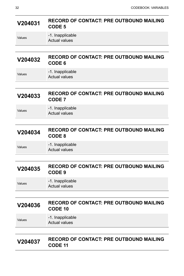# **V204031 RECORD OF CONTACT: PRE OUTBOUND MAILING CODE 5**

Values -1. Inapplicable Actual values

#### **V204032 RECORD OF CONTACT: PRE OUTBOUND MAILING CODE 6**

| Values | -1. Inapplicable |
|--------|------------------|
|        | Actual values    |

#### **V204033 RECORD OF CONTACT: PRE OUTBOUND MAILING CODE 7**

Values -1. Inapplicable Actual values

#### **V204034 RECORD OF CONTACT: PRE OUTBOUND MAILING CODE 8**

Values -1. Inapplicable

Actual values

#### **V204035 RECORD OF CONTACT: PRE OUTBOUND MAILING CODE 9**

Values -1. Inapplicable Actual values

#### **V204036 RECORD OF CONTACT: PRE OUTBOUND MAILING CODE 10**

Values -1. Inapplicable Actual values

### **V204037 RECORD OF CONTACT: PRE OUTBOUND MAILING CODE 11**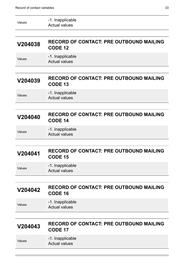| Values  | -1. Inapplicable<br><b>Actual values</b>                         |
|---------|------------------------------------------------------------------|
|         |                                                                  |
| V204038 | <b>RECORD OF CONTACT: PRE OUTBOUND MAILING</b><br><b>CODE 12</b> |
| Values  | -1. Inapplicable<br><b>Actual values</b>                         |
|         |                                                                  |
| V204039 | <b>RECORD OF CONTACT: PRE OUTBOUND MAILING</b><br><b>CODE 13</b> |
| Values  | -1. Inapplicable<br><b>Actual values</b>                         |
|         |                                                                  |
| V204040 | <b>RECORD OF CONTACT: PRE OUTBOUND MAILING</b><br><b>CODE 14</b> |
| Values  | -1. Inapplicable<br><b>Actual values</b>                         |
|         |                                                                  |
| V204041 | <b>RECORD OF CONTACT: PRE OUTBOUND MAILING</b><br><b>CODE 15</b> |
| Values  | -1. Inapplicable<br><b>Actual values</b>                         |
|         |                                                                  |
| V204042 | <b>RECORD OF CONTACT: PRE OUTBOUND MAILING</b><br><b>CODE 16</b> |
| Values  | -1. Inapplicable<br>Actual values                                |
|         |                                                                  |
| V204043 | <b>RECORD OF CONTACT: PRE OUTBOUND MAILING</b><br><b>CODE 17</b> |
| Values  | -1. Inapplicable<br><b>Actual values</b>                         |

<u> The Communication of the Communication of the Communication of the Communication of the Communication of the Co</u>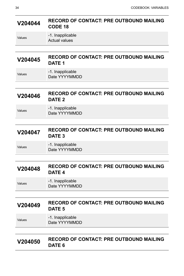# **V204044 RECORD OF CONTACT: PRE OUTBOUND MAILING CODE 18** Values -1. Inapplicable

Actual values

### **V204045 RECORD OF CONTACT: PRE OUTBOUND MAILING DATE 1**

| Values | -1. Inapplicable |
|--------|------------------|
|        | Date YYYYMMDD    |

#### **V204046 RECORD OF CONTACT: PRE OUTBOUND MAILING DATE 2**

Values -1. Inapplicable Date YYYYMMDD

#### **V204047 RECORD OF CONTACT: PRE OUTBOUND MAILING DATE 3**

Values -1. Inapplicable

Date YYYYMMDD

#### **V204048 RECORD OF CONTACT: PRE OUTBOUND MAILING DATE 4**

Values -1. Inapplicable Date YYYYMMDD

#### **V204049 RECORD OF CONTACT: PRE OUTBOUND MAILING DATE 5**

Values -1. Inapplicable Date YYYYMMDD

#### **V204050 RECORD OF CONTACT: PRE OUTBOUND MAILING DATE 6**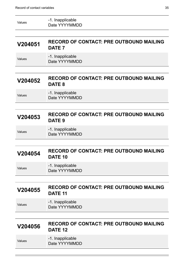| V204056 | <b>RECORD OF CONTACT: PRE OUTBOUND MAILING</b><br><b>DATE 12</b>     |
|---------|----------------------------------------------------------------------|
| Values  | -1. Inapplicable<br>Date YYYYMMDD                                    |
| V204055 | <b>RECORD OF CONTACT: PRE OUTBOUND MAILING</b><br>DATE <sub>11</sub> |
| Values  | -1. Inapplicable<br>Date YYYYMMDD                                    |
| V204054 | <b>RECORD OF CONTACT: PRE OUTBOUND MAILING</b><br>DATE <sub>10</sub> |
| Values  | -1. Inapplicable<br>Date YYYYMMDD                                    |
| V204053 | <b>RECORD OF CONTACT: PRE OUTBOUND MAILING</b><br>DATE <sub>9</sub>  |
|         | Date YYYYMMDD                                                        |
| Values  | DATE <sub>8</sub><br>-1. Inapplicable                                |
| V204052 | <b>RECORD OF CONTACT: PRE OUTBOUND MAILING</b>                       |
| Values  | -1. Inapplicable<br>Date YYYYMMDD                                    |
| V204051 | <b>RECORD OF CONTACT: PRE OUTBOUND MAILING</b><br>DATE <sub>7</sub>  |
| Values  | -1. Inapplicable<br>Date YYYYMMDD                                    |
|         |                                                                      |

Values -1. Inapplicable Date YYYYMMDD

Ė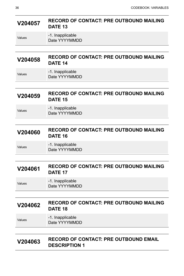#### **V204057 RECORD OF CONTACT: PRE OUTBOUND MAILING DATE 13**

Values -1. Inapplicable Date YYYYMMDD

#### **V204058 RECORD OF CONTACT: PRE OUTBOUND MAILING DATE 14**

| Values | -1. Inapplicable |
|--------|------------------|
|        | Date YYYYMMDD    |

#### **V204059 RECORD OF CONTACT: PRE OUTBOUND MAILING DATE 15**

Values -1. Inapplicable Date YYYYMMDD

#### **V204060 RECORD OF CONTACT: PRE OUTBOUND MAILING DATE 16**

Values -1. Inapplicable Date YYYYMMDD

#### **V204061 RECORD OF CONTACT: PRE OUTBOUND MAILING DATE 17**

Values -1. Inapplicable Date YYYYMMDD

#### **V204062 RECORD OF CONTACT: PRE OUTBOUND MAILING DATE 18**

Values -1. Inapplicable Date YYYYMMDD

#### **V204063 RECORD OF CONTACT: PRE OUTBOUND EMAIL DESCRIPTION 1**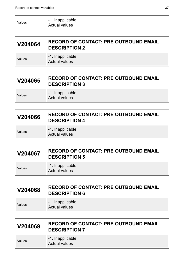| Values | -1. Inapplicable<br>Actual values |  |
|--------|-----------------------------------|--|
|        |                                   |  |

#### **V204064 RECORD OF CONTACT: PRE OUTBOUND EMAIL DESCRIPTION 2**

Values -1. Inapplicable Actual values

#### **V204065 RECORD OF CONTACT: PRE OUTBOUND EMAIL DESCRIPTION 3**

Values -1. Inapplicable Actual values

#### **V204066 RECORD OF CONTACT: PRE OUTBOUND EMAIL DESCRIPTION 4**

Values -1. Inapplicable Actual values

#### **V204067 RECORD OF CONTACT: PRE OUTBOUND EMAIL DESCRIPTION 5**

Values -1. Inapplicable Actual values

#### **V204068 RECORD OF CONTACT: PRE OUTBOUND EMAIL DESCRIPTION 6**

Values **-1.** Inapplicable Actual values

#### **V204069 RECORD OF CONTACT: PRE OUTBOUND EMAIL DESCRIPTION 7**

Values -1. Inapplicable Actual values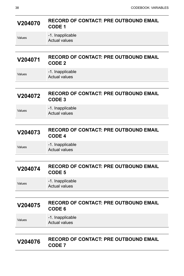# **V204070 RECORD OF CONTACT: PRE OUTBOUND EMAIL CODE 1**

| Values |  |
|--------|--|
|--------|--|

-1. Inapplicable Actual values

### **V204071 RECORD OF CONTACT: PRE OUTBOUND EMAIL CODE 2**

Values -1. Inapplicable Actual values

### **V204072 RECORD OF CONTACT: PRE OUTBOUND EMAIL CODE 3**

Values **-1.** Inapplicable Actual values

#### **V204073 RECORD OF CONTACT: PRE OUTBOUND EMAIL CODE 4**

Values -1. Inapplicable Actual values

#### **V204074 RECORD OF CONTACT: PRE OUTBOUND EMAIL CODE 5**

Values -1. Inapplicable Actual values

#### **V204075 RECORD OF CONTACT: PRE OUTBOUND EMAIL CODE 6**

Values -1. Inapplicable Actual values

#### **V204076 RECORD OF CONTACT: PRE OUTBOUND EMAIL CODE 7**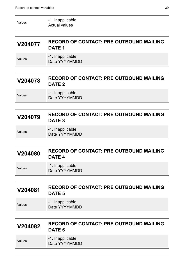| Values  | -1. Inapplicable<br><b>Actual values</b>                            |
|---------|---------------------------------------------------------------------|
|         |                                                                     |
| V204077 | <b>RECORD OF CONTACT: PRE OUTBOUND MAILING</b><br>DATE <sub>1</sub> |
| Values  | -1. Inapplicable<br>Date YYYYMMDD                                   |
|         |                                                                     |
| V204078 | <b>RECORD OF CONTACT: PRE OUTBOUND MAILING</b><br>DATE <sub>2</sub> |
| Values  | -1. Inapplicable<br>Date YYYYMMDD                                   |
|         |                                                                     |
| V204079 | <b>RECORD OF CONTACT: PRE OUTBOUND MAILING</b><br>DATE <sub>3</sub> |
| Values  | -1. Inapplicable<br>Date YYYYMMDD                                   |
|         |                                                                     |
| V204080 | <b>RECORD OF CONTACT: PRE OUTBOUND MAILING</b><br>DATE <sub>4</sub> |
| Values  | -1. Inapplicable<br>Date YYYYMMDD                                   |
|         |                                                                     |
| V204081 | <b>RECORD OF CONTACT: PRE OUTBOUND MAILING</b><br>DATE <sub>5</sub> |
| Values  | -1. Inapplicable<br>Date YYYYMMDD                                   |
|         |                                                                     |
| V204082 | <b>RECORD OF CONTACT: PRE OUTBOUND MAILING</b><br>DATE <sub>6</sub> |
| Values  | -1. Inapplicable<br>Date YYYYMMDD                                   |
|         |                                                                     |

<u> Electronic de la contrada de la contrada de la contrada de la contrada de la contrada de la contrada de la c</u>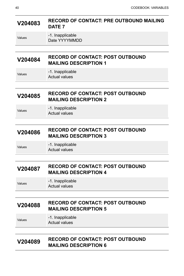| V204083 | <b>RECORD OF CONTACT: PRE OUTBOUND MAILING</b> |
|---------|------------------------------------------------|
|         | DATE 7                                         |

Values -1. Inapplicable Date YYYYMMDD

#### **V204084 RECORD OF CONTACT: POST OUTBOUND MAILING DESCRIPTION 1**

Values -1. Inapplicable Actual values

### **V204085 RECORD OF CONTACT: POST OUTBOUND MAILING DESCRIPTION 2**

Values **-1.** Inapplicable Actual values

#### **V204086 RECORD OF CONTACT: POST OUTBOUND MAILING DESCRIPTION 3**

Values -1. Inapplicable Actual values

#### **V204087 RECORD OF CONTACT: POST OUTBOUND MAILING DESCRIPTION 4**

Values -1. Inapplicable Actual values

#### **V204088 RECORD OF CONTACT: POST OUTBOUND MAILING DESCRIPTION 5**

Values -1. Inapplicable Actual values

#### **V204089 RECORD OF CONTACT: POST OUTBOUND MAILING DESCRIPTION 6**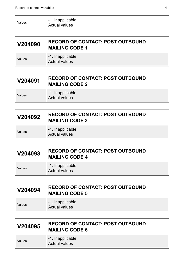| Values  | -1. Inapplicable<br><b>Actual values</b>                         |
|---------|------------------------------------------------------------------|
| V204090 | <b>RECORD OF CONTACT: POST OUTBOUND</b><br><b>MAILING CODE 1</b> |
| Values  | -1. Inapplicable<br><b>Actual values</b>                         |
|         |                                                                  |
| V204091 | <b>RECORD OF CONTACT: POST OUTBOUND</b><br><b>MAILING CODE 2</b> |
| Values  | -1. Inapplicable<br><b>Actual values</b>                         |
|         |                                                                  |
| V204092 | <b>RECORD OF CONTACT: POST OUTBOUND</b><br><b>MAILING CODE 3</b> |
| Values  | -1. Inapplicable<br><b>Actual values</b>                         |
|         |                                                                  |
| V204093 | <b>RECORD OF CONTACT: POST OUTBOUND</b><br><b>MAILING CODE 4</b> |
| Values  | -1. Inapplicable<br><b>Actual values</b>                         |
|         |                                                                  |
| V204094 | <b>RECORD OF CONTACT: POST OUTBOUND</b><br><b>MAILING CODE 5</b> |
| Values  | -1. Inapplicable<br><b>Actual values</b>                         |
|         |                                                                  |
| V204095 | <b>RECORD OF CONTACT: POST OUTBOUND</b><br><b>MAILING CODE 6</b> |
| Values  | -1. Inapplicable<br><b>Actual values</b>                         |

<u> Electronic de la contrada de la contrada de la contrada de la contrada de la contrada de la contrada de la c</u>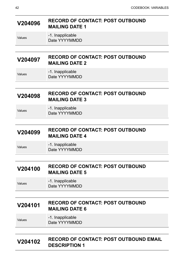#### **V204096 RECORD OF CONTACT: POST OUTBOUND MAILING DATE 1**

#### -1. Inapplicable Date YYYYMMDD

#### **V204097 RECORD OF CONTACT: POST OUTBOUND MAILING DATE 2**

| Values | -1. Inapplicable |
|--------|------------------|
|        | Date YYYYMMDD    |

#### **V204098 RECORD OF CONTACT: POST OUTBOUND MAILING DATE 3**

Values **-1.** Inapplicable Date YYYYMMDD

#### **V204099 RECORD OF CONTACT: POST OUTBOUND MAILING DATE 4**

Values -1. Inapplicable Date YYYYMMDD

#### **V204100 RECORD OF CONTACT: POST OUTBOUND MAILING DATE 5**

Values -1. Inapplicable Date YYYYMMDD

#### **V204101 RECORD OF CONTACT: POST OUTBOUND MAILING DATE 6**

Values -1. Inapplicable Date YYYYMMDD

#### **V204102 RECORD OF CONTACT: POST OUTBOUND EMAIL DESCRIPTION 1**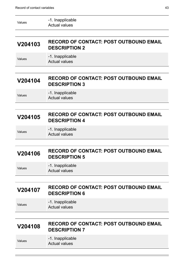| Values | -1. Inapplicable<br>Actual values |
|--------|-----------------------------------|
|--------|-----------------------------------|

#### **V204103 RECORD OF CONTACT: POST OUTBOUND EMAIL DESCRIPTION 2**

Values -1. Inapplicable Actual values

#### **V204104 RECORD OF CONTACT: POST OUTBOUND EMAIL DESCRIPTION 3**

Values -1. Inapplicable Actual values

#### **V204105 RECORD OF CONTACT: POST OUTBOUND EMAIL DESCRIPTION 4**

Values -1. Inapplicable Actual values

#### **V204106 RECORD OF CONTACT: POST OUTBOUND EMAIL DESCRIPTION 5**

Values -1. Inapplicable Actual values

#### **V204107 RECORD OF CONTACT: POST OUTBOUND EMAIL DESCRIPTION 6**

Values -1. Inapplicable Actual values

#### **V204108 RECORD OF CONTACT: POST OUTBOUND EMAIL DESCRIPTION 7**

Values -1. Inapplicable Actual values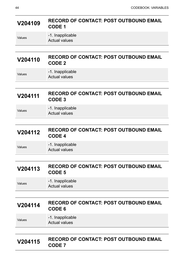# **V204109 RECORD OF CONTACT: POST OUTBOUND EMAIL CODE 1**

Values -1. Inapplicable Actual values

#### **V204110 RECORD OF CONTACT: POST OUTBOUND EMAIL CODE 2**

| Values | -1. Inapplicable     |
|--------|----------------------|
|        | <b>Actual values</b> |

#### **V204111 RECORD OF CONTACT: POST OUTBOUND EMAIL CODE 3**

Values **-1.** Inapplicable Actual values

#### **V204112 RECORD OF CONTACT: POST OUTBOUND EMAIL CODE 4**

Values -1. Inapplicable Actual values

#### **V204113 RECORD OF CONTACT: POST OUTBOUND EMAIL CODE 5**

Values -1. Inapplicable Actual values

#### **V204114 RECORD OF CONTACT: POST OUTBOUND EMAIL CODE 6**

Values -1. Inapplicable Actual values

### **V204115 RECORD OF CONTACT: POST OUTBOUND EMAIL CODE 7**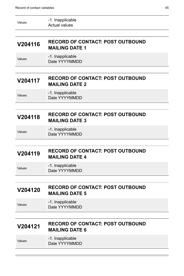| Values  | -1. Inapplicable<br><b>Actual values</b>                         |
|---------|------------------------------------------------------------------|
|         |                                                                  |
| V204116 | <b>RECORD OF CONTACT: POST OUTBOUND</b><br><b>MAILING DATE 1</b> |
| Values  | -1. Inapplicable<br>Date YYYYMMDD                                |
|         |                                                                  |
| V204117 | <b>RECORD OF CONTACT: POST OUTBOUND</b><br><b>MAILING DATE 2</b> |
| Values  | -1. Inapplicable<br>Date YYYYMMDD                                |
|         |                                                                  |
| V204118 | <b>RECORD OF CONTACT: POST OUTBOUND</b><br><b>MAILING DATE 3</b> |
| Values  | -1. Inapplicable<br>Date YYYYMMDD                                |
|         |                                                                  |
|         |                                                                  |
| V204119 | <b>RECORD OF CONTACT: POST OUTBOUND</b><br><b>MAILING DATE 4</b> |
| Values  | -1. Inapplicable<br>Date YYYYMMDD                                |
|         |                                                                  |
| V204120 | <b>RECORD OF CONTACT: POST OUTBOUND</b><br><b>MAILING DATE 5</b> |
| Values  | -1. Inapplicable<br>Date YYYYMMDD                                |
|         |                                                                  |
| V204121 | <b>RECORD OF CONTACT: POST OUTBOUND</b><br><b>MAILING DATE 6</b> |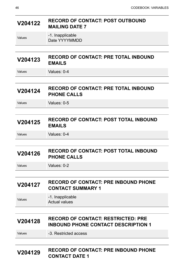| V204122 | <b>RECORD OF CONTACT: POST OUTBOUND</b><br><b>MAILING DATE 7</b>                        |
|---------|-----------------------------------------------------------------------------------------|
| Values  | -1. Inapplicable<br>Date YYYYMMDD                                                       |
|         |                                                                                         |
| V204123 | <b>RECORD OF CONTACT: PRE TOTAL INBOUND</b><br><b>EMAILS</b>                            |
| Values  | Values: 0-4                                                                             |
|         |                                                                                         |
| V204124 | <b>RECORD OF CONTACT: PRE TOTAL INBOUND</b><br><b>PHONE CALLS</b>                       |
| Values  | Values: 0-5                                                                             |
|         |                                                                                         |
| V204125 | <b>RECORD OF CONTACT: POST TOTAL INBOUND</b><br><b>EMAILS</b>                           |
| Values  | Values: 0-4                                                                             |
|         |                                                                                         |
| V204126 | <b>RECORD OF CONTACT: POST TOTAL INBOUND</b><br><b>PHONE CALLS</b>                      |
| Values  | Values: 0-2                                                                             |
|         |                                                                                         |
| V204127 | <b>RECORD OF CONTACT: PRE INBOUND PHONE</b><br><b>CONTACT SUMMARY 1</b>                 |
| Values  | -1. Inapplicable<br><b>Actual values</b>                                                |
|         |                                                                                         |
| V204128 | <b>RECORD OF CONTACT: RESTRICTED: PRE</b><br><b>INBOUND PHONE CONTACT DESCRIPTION 1</b> |
| Values  | -3. Restricted access                                                                   |
|         |                                                                                         |
|         | CODD OF CONTACT, DDF INDOUND DUONE                                                      |

#### **V204129 RECORD OF CONTACT: PRE INBOUND PHONE CONTACT DATE 1**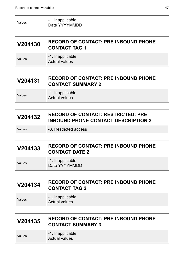| Values  | -1. Inapplicable<br>Date YYYYMMDD                                                       |
|---------|-----------------------------------------------------------------------------------------|
|         |                                                                                         |
| V204130 | <b>RECORD OF CONTACT: PRE INBOUND PHONE</b><br><b>CONTACT TAG 1</b>                     |
| Values  | -1. Inapplicable<br><b>Actual values</b>                                                |
|         |                                                                                         |
| V204131 | <b>RECORD OF CONTACT: PRE INBOUND PHONE</b><br><b>CONTACT SUMMARY 2</b>                 |
| Values  | -1. Inapplicable<br><b>Actual values</b>                                                |
|         |                                                                                         |
| V204132 | <b>RECORD OF CONTACT: RESTRICTED: PRE</b><br><b>INBOUND PHONE CONTACT DESCRIPTION 2</b> |
| Values  | -3. Restricted access                                                                   |
|         |                                                                                         |
| V204133 | <b>RECORD OF CONTACT: PRE INBOUND PHONE</b><br><b>CONTACT DATE 2</b>                    |
| Values  | -1. Inapplicable<br>Date YYYYMMDD                                                       |
|         |                                                                                         |
| V204134 | <b>RECORD OF CONTACT: PRE INBOUND PHONE</b><br><b>CONTACT TAG 2</b>                     |
| Values  | -1. Inapplicable<br><b>Actual values</b>                                                |
|         |                                                                                         |
| V204135 | <b>RECORD OF CONTACT: PRE INBOUND PHONE</b><br><b>CONTACT SUMMARY 3</b>                 |
| Values  | -1. Inapplicable<br><b>Actual values</b>                                                |
|         |                                                                                         |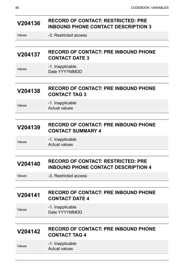#### **V204136 RECORD OF CONTACT: RESTRICTED: PRE INBOUND PHONE CONTACT DESCRIPTION 3**

Values -3. Restricted access

# **V204137 RECORD OF CONTACT: PRE INBOUND PHONE CONTACT DATE 3**

Values -1. Inapplicable Date YYYYMMDD

#### **V204138 RECORD OF CONTACT: PRE INBOUND PHONE CONTACT TAG 3**

Values -1. Inapplicable Actual values

#### **V204139 RECORD OF CONTACT: PRE INBOUND PHONE CONTACT SUMMARY 4**

Values **-1.** Inapplicable Actual values

# **V204140 RECORD OF CONTACT: RESTRICTED: PRE INBOUND PHONE CONTACT DESCRIPTION 4**

Values -3. Restricted access

# **V204141 RECORD OF CONTACT: PRE INBOUND PHONE CONTACT DATE 4**

Values -1. Inapplicable Date YYYYMMDD

#### **V204142 RECORD OF CONTACT: PRE INBOUND PHONE CONTACT TAG 4**

Values -1. Inapplicable Actual values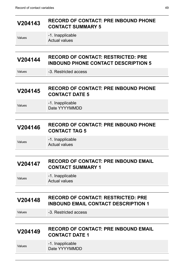# **V204143 RECORD OF CONTACT: PRE INBOUND PHONE CONTACT SUMMARY 5** Values -1. Inapplicable Actual values **V204144 RECORD OF CONTACT: RESTRICTED: PRE INBOUND PHONE CONTACT DESCRIPTION 5** Values -3. Restricted access **V204145 RECORD OF CONTACT: PRE INBOUND PHONE CONTACT DATE 5** Values -1. Inapplicable Date YYYYMMDD **V204146 RECORD OF CONTACT: PRE INBOUND PHONE CONTACT TAG 5** Values **-1.** Inapplicable Actual values **V204147 RECORD OF CONTACT: PRE INBOUND EMAIL CONTACT SUMMARY 1** Values -1. Inapplicable Actual values **V204148 RECORD OF CONTACT: RESTRICTED: PRE INBOUND EMAIL CONTACT DESCRIPTION 1** Values -3. Restricted access **V204149 RECORD OF CONTACT: PRE INBOUND EMAIL CONTACT DATE 1** Values -1. Inapplicable Date YYYYMMDD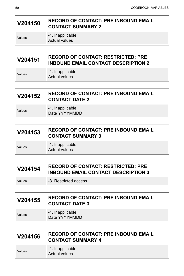#### **V204150 RECORD OF CONTACT: PRE INBOUND EMAIL CONTACT SUMMARY 2**

-1. Inapplicable Actual values

**V204151 RECORD OF CONTACT: RESTRICTED: PRE INBOUND EMAIL CONTACT DESCRIPTION 2**

Values -1. Inapplicable Actual values

### **V204152 RECORD OF CONTACT: PRE INBOUND EMAIL CONTACT DATE 2**

Values **-1.** Inapplicable Date YYYYMMDD

#### **V204153 RECORD OF CONTACT: PRE INBOUND EMAIL CONTACT SUMMARY 3**

Values -1. Inapplicable Actual values

#### **V204154 RECORD OF CONTACT: RESTRICTED: PRE INBOUND EMAIL CONTACT DESCRIPTION 3**

Values -3. Restricted access

#### **V204155 RECORD OF CONTACT: PRE INBOUND EMAIL CONTACT DATE 3**

Values -1. Inapplicable Date YYYYMMDD

#### **V204156 RECORD OF CONTACT: PRE INBOUND EMAIL CONTACT SUMMARY 4**

Values -1. Inapplicable

Actual values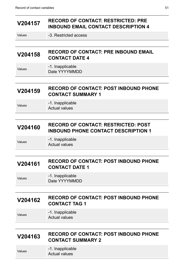### **V204157 RECORD OF CONTACT: RESTRICTED: PRE INBOUND EMAIL CONTACT DESCRIPTION 4**

| V204158 | <b>RECORD OF CONTACT: PRE INBOUND EMAIL</b> |
|---------|---------------------------------------------|
|         | <b>CONTACT DATE 4</b>                       |

Values -1. Inapplicable Date YYYYMMDD

#### **V204159 RECORD OF CONTACT: POST INBOUND PHONE CONTACT SUMMARY 1**

Values -1. Inapplicable Actual values

#### **V204160 RECORD OF CONTACT: RESTRICTED: POST INBOUND PHONE CONTACT DESCRIPTION 1**

Values **-1.** Inapplicable Actual values

# **V204161 RECORD OF CONTACT: POST INBOUND PHONE CONTACT DATE 1**

Values -1. Inapplicable Date YYYYMMDD

#### **V204162 RECORD OF CONTACT: POST INBOUND PHONE CONTACT TAG 1**

Values -1. Inapplicable Actual values

#### **V204163 RECORD OF CONTACT: POST INBOUND PHONE CONTACT SUMMARY 2**

Values -1. Inapplicable

Actual values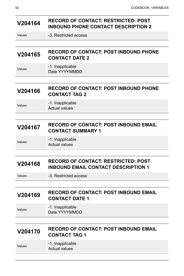#### **V204164 RECORD OF CONTACT: RESTRICTED: POST INBOUND PHONE CONTACT DESCRIPTION 2**

Values -3. Restricted access

# **V204165 RECORD OF CONTACT: POST INBOUND PHONE CONTACT DATE 2**

Values -1. Inapplicable Date YYYYMMDD

#### **V204166 RECORD OF CONTACT: POST INBOUND PHONE CONTACT TAG 2**

Values -1. Inapplicable Actual values

#### **V204167 RECORD OF CONTACT: POST INBOUND EMAIL CONTACT SUMMARY 1**

Values **-1.** Inapplicable Actual values

#### **V204168 RECORD OF CONTACT: RESTRICTED: POST INBOUND EMAIL CONTACT DESCRIPTION 1**

Values -3. Restricted access

# **V204169 RECORD OF CONTACT: POST INBOUND EMAIL CONTACT DATE 1**

Values -1. Inapplicable Date YYYYMMDD

#### **V204170 RECORD OF CONTACT: POST INBOUND EMAIL CONTACT TAG 1**

Values -1. Inapplicable Actual values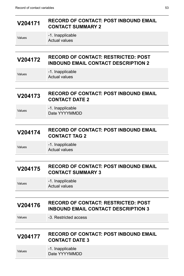#### **V204171 RECORD OF CONTACT: POST INBOUND EMAIL CONTACT SUMMARY 2**

Values -1. Inapplicable Actual values

#### **V204172 RECORD OF CONTACT: RESTRICTED: POST INBOUND EMAIL CONTACT DESCRIPTION 2**

Values -1. Inapplicable Actual values

# **V204173 RECORD OF CONTACT: POST INBOUND EMAIL CONTACT DATE 2**

Values **-1.** Inapplicable Date YYYYMMDD

#### **V204174 RECORD OF CONTACT: POST INBOUND EMAIL CONTACT TAG 2**

Values -1. Inapplicable Actual values

#### **V204175 RECORD OF CONTACT: POST INBOUND EMAIL CONTACT SUMMARY 3**

Values -1. Inapplicable Actual values

### **V204176 RECORD OF CONTACT: RESTRICTED: POST INBOUND EMAIL CONTACT DESCRIPTION 3**

Values -3. Restricted access

#### **V204177 RECORD OF CONTACT: POST INBOUND EMAIL CONTACT DATE 3**

| Values | -1. Inapplicable |
|--------|------------------|
|        | Date YYYYMMDD    |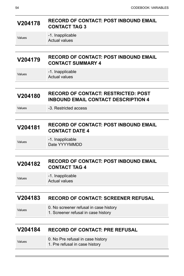### **V204178 RECORD OF CONTACT: POST INBOUND EMAIL CONTACT TAG 3**

#### -1. Inapplicable Actual values

#### **V204179 RECORD OF CONTACT: POST INBOUND EMAIL CONTACT SUMMARY 4**

Values -1. Inapplicable Actual values

#### **V204180 RECORD OF CONTACT: RESTRICTED: POST INBOUND EMAIL CONTACT DESCRIPTION 4**

Values -3. Restricted access

#### **V204181 RECORD OF CONTACT: POST INBOUND EMAIL CONTACT DATE 4**

Values -1. Inapplicable Date YYYYMMDD

#### **V204182 RECORD OF CONTACT: POST INBOUND EMAIL CONTACT TAG 4**

Values -1. Inapplicable Actual values

#### **V204183 RECORD OF CONTACT: SCREENER REFUSAL**

- Values **0. No screener refusal in case history** 
	- 1. Screener refusal in case history

#### **V204184 RECORD OF CONTACT: PRE REFUSAL**

| Values | 0. No Pre refusal in case history |
|--------|-----------------------------------|
|        | 1. Pre refusal in case history    |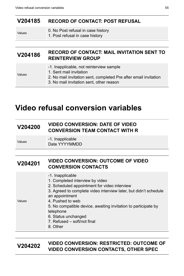#### **V204185 RECORD OF CONTACT: POST REFUSAL**

- Values 0. No Post refusal in case history
	- 1. Post refusal in case history

#### **V204186 RECORD OF CONTACT: MAIL INVITATION SENT TO REINTERVIEW GROUP**

- -1. Inapplicable, not reinterview sample
- Values
- 1. Sent mail invitation
- 2. No mail invitation sent, completed Pre after email invitation
- 3. No mail invitation sent, other reason

# <span id="page-58-0"></span>**Video refusal conversion variables**

#### **V204200 VIDEO CONVERSION: DATE OF VIDEO CONVERSION TEAM CONTACT WITH R**

Values -1. Inapplicable Date YYYYMMDD

#### **V204201 VIDEO CONVERSION: OUTCOME OF VIDEO CONVERSION CONTACTS**

| Values | -1. Inapplicable<br>1. Completed interview by video<br>2. Scheduled appointment for video interview<br>3. Agreed to complete video interview later, but didn't schedule<br>an appointment<br>4. Pushed to web<br>5. No compatible device, awaiting invitation to participate by<br>telephone<br>6. Status unchanged<br>7. Refused – soft/not final<br>8. Other |
|--------|----------------------------------------------------------------------------------------------------------------------------------------------------------------------------------------------------------------------------------------------------------------------------------------------------------------------------------------------------------------|
|--------|----------------------------------------------------------------------------------------------------------------------------------------------------------------------------------------------------------------------------------------------------------------------------------------------------------------------------------------------------------------|

#### **V204202 VIDEO CONVERSION: RESTRICTED: OUTCOME OF VIDEO CONVERSION CONTACTS, OTHER SPEC**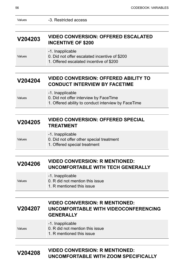Values

Values

Values -3. Restricted access

#### **V204203 VIDEO CONVERSION: OFFERED ESCALATED INCENTIVE OF \$200**

|  | -1. Inapplicable |
|--|------------------|
|--|------------------|

0. Did not offer escalated incentive of \$200

1. Offered escalated incentive of \$200

#### **V204204 VIDEO CONVERSION: OFFERED ABILITY TO CONDUCT INTERVIEW BY FACETIME**

|        | -1. Inapplicable                                    |
|--------|-----------------------------------------------------|
| Values | 0. Did not offer interview by FaceTime              |
|        | 1. Offered ability to conduct interview by FaceTime |

#### **V204205 VIDEO CONVERSION: OFFERED SPECIAL TREATMENT**

- -1. Inapplicable
- 0. Did not offer other special treatment
	- 1. Offered special treatment

#### **V204206 VIDEO CONVERSION: R MENTIONED: UNCOMFORTABLE WITH TECH GENERALLY**

|        | -1. Inapplicable                |
|--------|---------------------------------|
| Values | 0. R did not mention this issue |
|        | 1. R mentioned this issue       |

#### **V204207 VIDEO CONVERSION: R MENTIONED: UNCOMFORTABLE WITH VIDEOCONFERENCING GENERALLY**

#### Values -1. Inapplicable 0. R did not mention this issue 1. R mentioned this issue

#### **V204208 VIDEO CONVERSION: R MENTIONED: UNCOMFORTABLE WITH ZOOM SPECIFICALLY**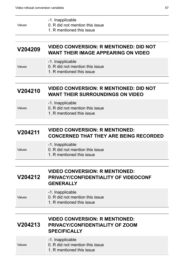| Values  | -1. Inapplicable<br>0. R did not mention this issue<br>1. R mentioned this issue            |
|---------|---------------------------------------------------------------------------------------------|
| V204209 | <b>VIDEO CONVERSION: R MENTIONED: DID NOT</b><br><b>WANT THEIR IMAGE APPEARING ON VIDEO</b> |
| Values  | -1. Inapplicable<br>0. R did not mention this issue<br>1. R mentioned this issue            |
|         |                                                                                             |
| V204210 | <b>VIDEO CONVERSION: R MENTIONED: DID NOT</b><br><b>WANT THEIR SURROUNDINGS ON VIDEO</b>    |
| Values  | -1. Inapplicable<br>0. R did not mention this issue                                         |

1. R mentioned this issue

#### **V204211 VIDEO CONVERSION: R MENTIONED: CONCERNED THAT THEY ARE BEING RECORDED**

|        | -1. Inapplicable                |
|--------|---------------------------------|
| Values | 0. R did not mention this issue |
|        | A. D. reachtainead this inaug   |

1. R mentioned this issue

#### **V204212 VIDEO CONVERSION: R MENTIONED: PRIVACY/CONFIDENTIALITY OF VIDEOCONF GENERALLY**

|        | -1. Inapplicable                |
|--------|---------------------------------|
| Values | 0. R did not mention this issue |
|        | 1. R mentioned this issue       |

#### **V204213 VIDEO CONVERSION: R MENTIONED: PRIVACY/CONFIDENTIALITY OF ZOOM SPECIFICALLY**

|        | -1. Inapplicable                |
|--------|---------------------------------|
| Values | 0. R did not mention this issue |
|        | 1. R mentioned this issue       |
|        |                                 |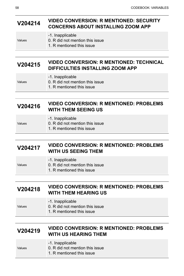#### **V204214 VIDEO CONVERSION: R MENTIONED: SECURITY CONCERNS ABOUT INSTALLING ZOOM APP**

| Values |
|--------|
|        |

- -1. Inapplicable
- 0. R did not mention this issue
- 1. R mentioned this issue

#### **V204215 VIDEO CONVERSION: R MENTIONED: TECHNICAL DIFFICULTIES INSTALLING ZOOM APP**

#### -1. Inapplicable

- 0. R did not mention this issue
	- 1. R mentioned this issue

#### **V204216 VIDEO CONVERSION: R MENTIONED: PROBLEMS WITH THEM SEEING US**

|        | -1. Inapplicable                |
|--------|---------------------------------|
| Values | 0. R did not mention this issue |
|        |                                 |

1. R mentioned this issue

### **V204217 VIDEO CONVERSION: R MENTIONED: PROBLEMS WITH US SEEING THEM**

|        | -1. Inapplicable                |
|--------|---------------------------------|
| Values | 0. R did not mention this issue |
|        | 1. R mentioned this issue       |

#### **V204218 VIDEO CONVERSION: R MENTIONED: PROBLEMS WITH THEM HEARING US**

- -1. Inapplicable
- Values 0. R did not mention this issue
	- 1. R mentioned this issue

#### **V204219 VIDEO CONVERSION: R MENTIONED: PROBLEMS WITH US HEARING THEM**

- -1. Inapplicable
- Values
- 0. R did not mention this issue
- 1. R mentioned this issue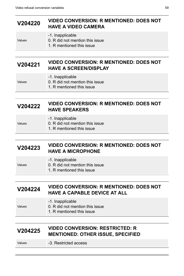#### **V204220 VIDEO CONVERSION: R MENTIONED: DOES NOT HAVE A VIDEO CAMERA**

- -1. Inapplicable
- Values
- 
- 0. R did not mention this issue
- 1. R mentioned this issue

### **V204221 VIDEO CONVERSION: R MENTIONED: DOES NOT HAVE A SCREEN/DISPLAY**

#### -1. Inapplicable

- 0. R did not mention this issue
	- 1. R mentioned this issue

#### **V204222 VIDEO CONVERSION: R MENTIONED: DOES NOT HAVE SPEAKERS**

| Values |
|--------|

#### -1. Inapplicable

- 0. R did not mention this issue
	- 1. R mentioned this issue

### **V204223 VIDEO CONVERSION: R MENTIONED: DOES NOT HAVE A MICROPHONE**

|        | -1. Inapplicable                |
|--------|---------------------------------|
| Values | 0. R did not mention this issue |
|        | 1. R mentioned this issue       |

#### **V204224 VIDEO CONVERSION: R MENTIONED: DOES NOT HAVE A CAPABLE DEVICE AT ALL**

- -1. Inapplicable
- Values 0. R did not mention this issue
	- 1. R mentioned this issue

#### **V204225 VIDEO CONVERSION: RESTRICTED: R MENTIONED: OTHER ISSUE, SPECIFIED**

Values -3. Restricted access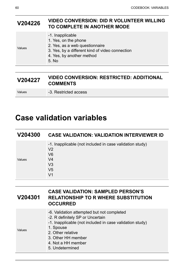#### **V204226 VIDEO CONVERSION: DID R VOLUNTEER WILLING TO COMPLETE IN ANOTHER MODE**

-1. Inapplicable 1. Yes, on the phone

Values

- 2. Yes, as a web questionnaire
	- 3. Yes, by a different kind of video connection
	- 4. Yes, by another method
	- 5. No

#### **V204227 VIDEO CONVERSION: RESTRICTED: ADDITIONAL COMMENTS**

Values **-3. Restricted access** 

# <span id="page-63-0"></span>**Case validation variables**

| V204300 | <b>CASE VALIDATION: VALIDATION INTERVIEWER ID</b>                                                                                                                    |
|---------|----------------------------------------------------------------------------------------------------------------------------------------------------------------------|
| Values  | -1. Inapplicable (not included in case validation study)<br>V <sub>2</sub><br>V <sub>6</sub><br>V <sub>4</sub><br>V <sub>3</sub><br>V <sub>5</sub><br>V <sub>1</sub> |

| V204301 | <b>CASE VALIDATION: SAMPLED PERSON'S</b><br><b>RELATIONSHIP TO R WHERE SUBSTITUTION</b><br><b>OCCURRED</b>                                                                                                                                  |
|---------|---------------------------------------------------------------------------------------------------------------------------------------------------------------------------------------------------------------------------------------------|
| Values  | -6. Validation attempted but not completed<br>-2. R definitely SP or Uncertain<br>-1. Inapplicable (not included in case validation study)<br>1. Spouse<br>2. Other relative<br>3. Other HH member<br>4. Not a HH member<br>5. Undetermined |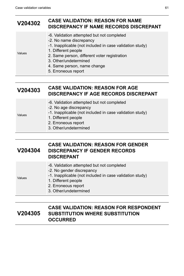| V204302 | <b>CASE VALIDATION: REASON FOR NAME</b><br>DISCREPANCY IF NAME RECORDS DISCREPANT                                                                                                                                                                                                       |
|---------|-----------------------------------------------------------------------------------------------------------------------------------------------------------------------------------------------------------------------------------------------------------------------------------------|
| Values  | -6. Validation attempted but not completed<br>-2. No name discrepancy<br>-1. Inapplicable (not included in case validation study)<br>1. Different people<br>2. Same person, different voter registration<br>3. Other/undetermined<br>4. Same person, name change<br>5. Erroneous report |

#### **V204303 CASE VALIDATION: REASON FOR AGE DISCREPANCY IF AGE RECORDS DISCREPANT**

- -6. Validation attempted but not completed
- -2. No age discrepancy
- -1. Inapplicable (not included in case validation study)
- Values
- 1. Different people
- 2. Erroneous report
- 3. Other/undetermined

#### **V204304 CASE VALIDATION: REASON FOR GENDER DISCREPANCY IF GENDER RECORDS DISCREPANT**

|        | -6. Validation attempted but not completed               |
|--------|----------------------------------------------------------|
| Values | -2. No gender discrepancy                                |
|        | -1. Inapplicable (not included in case validation study) |
|        | 1. Different people                                      |
|        | 2. Erroneous report                                      |
|        | 3. Other/undetermined                                    |

#### **V204305 CASE VALIDATION: REASON FOR RESPONDENT SUBSTITUTION WHERE SUBSTITUTION OCCURRED**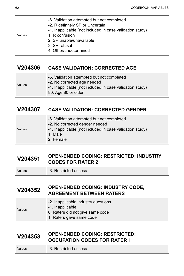- -6. Validation attempted but not completed
- -2. R definitely SP or Uncertain
- -1. Inapplicable (not included in case validation study)

Values

- 1. R confusion
- 2. SP unable/unavailable
- 3. SP refusal
- 4. Other/undetermined

#### **V204306 CASE VALIDATION: CORRECTED AGE**

| Values |
|--------|
|--------|

- 
- -2. No corrected age needed

-6. Validation attempted but not completed

- -1. Inapplicable (not included in case validation study)
- 80. Age 80 or older

#### **V204307 CASE VALIDATION: CORRECTED GENDER**

|        | -6. Validation attempted but not completed               |
|--------|----------------------------------------------------------|
|        | -2. No corrected gender needed                           |
| Values | -1. Inapplicable (not included in case validation study) |
|        | 1. Male                                                  |
|        | 2. Female                                                |

#### **V204351 OPEN-ENDED CODING: RESTRICTED: INDUSTRY CODES FOR RATER 2**

Values **-3. Restricted access** 

#### **V204352 OPEN-ENDED CODING: INDUSTRY CODE, AGREEMENT BETWEEN RATERS**

-2. Inapplicable industry questions

Values

- -1. Inapplicable 0. Raters did not give same code
- 1. Raters gave same code

#### **V204353 OPEN-ENDED CODING: RESTRICTED: OCCUPATION CODES FOR RATER 1**

Values -3. Restricted access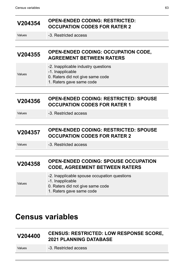# **V204354 OPEN-ENDED CODING: RESTRICTED: OCCUPATION CODES FOR RATER 2**

Values **-3. Restricted access** 

-1. Inapplicable

#### **V204355 OPEN-ENDED CODING: OCCUPATION CODE, AGREEMENT BETWEEN RATERS**

- -2. Inapplicable industry questions
- Values
- 0. Raters did not give same code
- 1. Raters gave same code

#### **V204356 OPEN-ENDED CODING: RESTRICTED: SPOUSE OCCUPATION CODES FOR RATER 1**

Values -3. Restricted access

#### **V204357 OPEN-ENDED CODING: RESTRICTED: SPOUSE OCCUPATION CODES FOR RATER 2**

Values -3. Restricted access

### **V204358 OPEN-ENDED CODING: SPOUSE OCCUPATION CODE, AGREEMENT BETWEEN RATERS**

# <span id="page-66-0"></span>**Census variables**

### **V204400 CENSUS: RESTRICTED: LOW RESPONSE SCORE, 2021 PLANNING DATABASE**

Values **-3. Restricted access**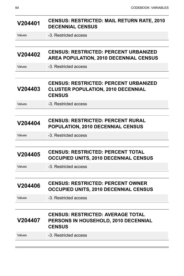| V204401 | <b>CENSUS: RESTRICTED: MAIL RETURN RATE, 2010</b><br><b>DECENNIAL CENSUS</b>                               |
|---------|------------------------------------------------------------------------------------------------------------|
| Values  | -3. Restricted access                                                                                      |
|         |                                                                                                            |
| V204402 | <b>CENSUS: RESTRICTED: PERCENT URBANIZED</b><br><b>AREA POPULATION, 2010 DECENNIAL CENSUS</b>              |
| Values  | -3. Restricted access                                                                                      |
|         |                                                                                                            |
| V204403 | <b>CENSUS: RESTRICTED: PERCENT URBANIZED</b><br><b>CLUSTER POPULATION, 2010 DECENNIAL</b><br><b>CENSUS</b> |
| Values  | -3. Restricted access                                                                                      |
|         |                                                                                                            |
| V204404 | <b>CENSUS: RESTRICTED: PERCENT RURAL</b><br>POPULATION, 2010 DECENNIAL CENSUS                              |
| Values  | -3. Restricted access                                                                                      |
|         |                                                                                                            |
| V204405 | <b>CENSUS: RESTRICTED: PERCENT TOTAL</b><br><b>OCCUPIED UNITS, 2010 DECENNIAL CENSUS</b>                   |
| Values  | -3. Restricted access                                                                                      |
|         |                                                                                                            |
| V204406 | <b>CENSUS: RESTRICTED: PERCENT OWNER</b><br>OCCUPIED UNITS, 2010 DECENNIAL CENSUS                          |
| Values  | -3. Restricted access                                                                                      |
|         |                                                                                                            |
| V204407 | <b>CENSUS: RESTRICTED: AVERAGE TOTAL</b><br>PERSONS IN HOUSEHOLD, 2010 DECENNIAL<br><b>CENSUS</b>          |
| Values  | -3. Restricted access                                                                                      |
|         |                                                                                                            |

<u> Electronic de la contrada de la contrada de la contrada de la contrada de la contrada de la contrada de la c</u>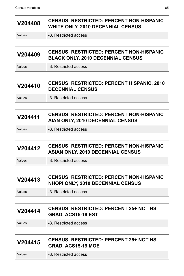| V204408 | <b>CENSUS: RESTRICTED: PERCENT NON-HISPANIC</b><br><b>WHITE ONLY, 2010 DECENNIAL CENSUS</b> |
|---------|---------------------------------------------------------------------------------------------|
| Values  | -3. Restricted access                                                                       |
|         |                                                                                             |
| V204409 | <b>CENSUS: RESTRICTED: PERCENT NON-HISPANIC</b><br><b>BLACK ONLY, 2010 DECENNIAL CENSUS</b> |
| Values  | -3. Restricted access                                                                       |
|         |                                                                                             |
| V204410 | <b>CENSUS: RESTRICTED: PERCENT HISPANIC, 2010</b><br><b>DECENNIAL CENSUS</b>                |
| Values  | -3. Restricted access                                                                       |
|         |                                                                                             |
| V204411 | <b>CENSUS: RESTRICTED: PERCENT NON-HISPANIC</b><br>AIAN ONLY, 2010 DECENNIAL CENSUS         |
| Values  | -3. Restricted access                                                                       |
|         |                                                                                             |
| V204412 | <b>CENSUS: RESTRICTED: PERCENT NON-HISPANIC</b><br><b>ASIAN ONLY, 2010 DECENNIAL CENSUS</b> |
| Values  | -3. Restricted access                                                                       |
|         |                                                                                             |
| V204413 | <b>CENSUS: RESTRICTED: PERCENT NON-HISPANIC</b><br>NHOPI ONLY, 2010 DECENNIAL CENSUS        |
| Values  | -3. Restricted access                                                                       |
|         |                                                                                             |
| V204414 | <b>CENSUS: RESTRICTED: PERCENT 25+ NOT HS</b><br>GRAD, ACS15-19 EST                         |
| Values  | -3. Restricted access                                                                       |
|         |                                                                                             |
| V204415 | <b>CENSUS: RESTRICTED: PERCENT 25+ NOT HS</b><br>GRAD, ACS15-19 MOE                         |
| Values  | -3. Restricted access                                                                       |